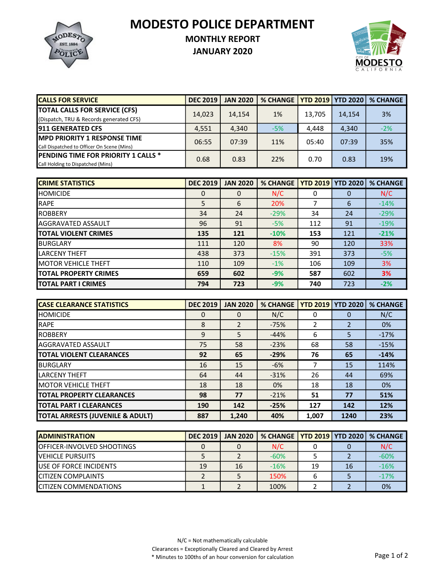MODESTO POLICE DEPARTMENT



## MONTHLY REPORT

JANUARY 2020



| <b>CALLS FOR SERVICE</b>                   | <b>DEC 2019</b> | <b>JAN 2020</b> | % CHANGE   YTD 2019   YTD 2020   % CHANGE |        |        |       |
|--------------------------------------------|-----------------|-----------------|-------------------------------------------|--------|--------|-------|
| <b>TOTAL CALLS FOR SERVICE (CFS)</b>       | 14,023          | 14,154          | 1%                                        | 13.705 | 14,154 | 3%    |
| (Dispatch, TRU & Records generated CFS)    |                 |                 |                                           |        |        |       |
| <b>1911 GENERATED CFS</b>                  | 4,551           | 4,340           | $-5%$                                     | 4.448  | 4,340  | $-2%$ |
| <b>IMPD PRIORITY 1 RESPONSE TIME</b>       | 06:55           | 07:39           | 11%                                       | 05:40  | 07:39  | 35%   |
| Call Dispatched to Officer On Scene (Mins) |                 |                 |                                           |        |        |       |
| <b>PENDING TIME FOR PRIORITY 1 CALLS *</b> | 0.68            | 0.83            | 22%                                       | 0.70   | 0.83   | 19%   |
| Call Holding to Dispatched (Mins)          |                 |                 |                                           |        |        |       |

| <b>ICRIME STATISTICS</b>      | <b>DEC 2019</b> | <b>JAN 2020</b> | <b>% CHANGE</b> |     | <b>YTD 2019 YTD 2020</b> | <b>% CHANGE</b> |
|-------------------------------|-----------------|-----------------|-----------------|-----|--------------------------|-----------------|
| <b>HOMICIDE</b>               | 0               | 0               | N/C             | 0   | 0                        | N/C             |
| <b>RAPE</b>                   | 5               | 6               | 20%             | 7   | 6                        | $-14%$          |
| <b>IROBBERY</b>               | 34              | 24              | $-29%$          | 34  | 24                       | $-29%$          |
| <b>AGGRAVATED ASSAULT</b>     | 96              | 91              | $-5%$           | 112 | 91                       | $-19%$          |
| <b>TOTAL VIOLENT CRIMES</b>   | 135             | 121             | $-10%$          | 153 | 121                      | $-21%$          |
| <b>BURGLARY</b>               | 111             | 120             | 8%              | 90  | 120                      | 33%             |
| <b>LARCENY THEFT</b>          | 438             | 373             | $-15%$          | 391 | 373                      | $-5%$           |
| <b>IMOTOR VEHICLE THEFT</b>   | 110             | 109             | $-1\%$          | 106 | 109                      | 3%              |
| <b>ITOTAL PROPERTY CRIMES</b> | 659             | 602             | $-9%$           | 587 | 602                      | 3%              |
| <b>ITOTAL PART I CRIMES</b>   | 794             | 723             | $-9%$           | 740 | 723                      | $-2%$           |

| <b>ICASE CLEARANCE STATISTICS</b> | <b>DEC 2019</b> | <b>JAN 2020</b> | <b>% CHANGE</b> | <b>YTD 2019   YTD 2020</b> |      | <b>% CHANGE</b> |
|-----------------------------------|-----------------|-----------------|-----------------|----------------------------|------|-----------------|
| <b>HOMICIDE</b>                   | 0               | $\Omega$        | N/C             | 0                          | 0    | N/C             |
| <b>RAPE</b>                       | 8               | $\overline{2}$  | $-75%$          | 2                          |      | 0%              |
| <b>IROBBERY</b>                   | 9               | 5               | $-44%$          | 6                          | 5    | $-17%$          |
| <b>I</b> AGGRAVATED ASSAULT       | 75              | 58              | $-23%$          | 68                         | 58   | $-15%$          |
| <b>TOTAL VIOLENT CLEARANCES</b>   | 92              | 65              | $-29%$          | 76                         | 65   | $-14%$          |
| <b>BURGLARY</b>                   | 16              | 15              | $-6%$           | 7                          | 15   | 114%            |
| <b>LARCENY THEFT</b>              | 64              | 44              | $-31%$          | 26                         | 44   | 69%             |
| <b>IMOTOR VEHICLE THEFT</b>       | 18              | 18              | 0%              | 18                         | 18   | 0%              |
| <b>ITOTAL PROPERTY CLEARANCES</b> | 98              | 77              | $-21%$          | 51                         | 77   | 51%             |
| <b>ITOTAL PART I CLEARANCES</b>   | 190             | 142             | $-25%$          | 127                        | 142  | 12%             |
| TOTAL ARRESTS (JUVENILE & ADULT)  | 887             | 1,240           | 40%             | 1,007                      | 1240 | 23%             |

| <b>IADMINISTRATION</b>             | <b>DEC 2019</b> | <b>JAN 2020</b> | % CHANGE   YTD 2019   YTD 2020   % CHANGE |    |    |        |
|------------------------------------|-----------------|-----------------|-------------------------------------------|----|----|--------|
| <b>IOFFICER-INVOLVED SHOOTINGS</b> |                 |                 | N/C                                       |    |    | N/C    |
| <b>IVEHICLE PURSUITS</b>           |                 |                 | $-60%$                                    |    |    | $-60%$ |
| <b>IUSE OF FORCE INCIDENTS</b>     | 19              | 16              | $-16%$                                    | 19 | 16 | $-16%$ |
| <b>ICITIZEN COMPLAINTS</b>         |                 |                 | 150%                                      |    |    | $-17%$ |
| <b>ICITIZEN COMMENDATIONS</b>      |                 |                 | 100%                                      |    |    | 0%     |